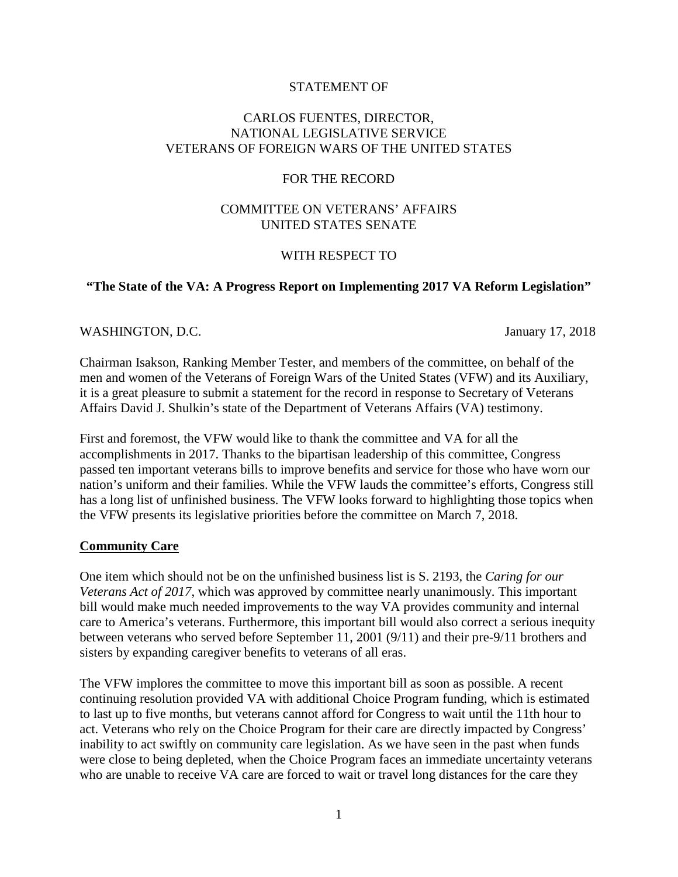### STATEMENT OF

## CARLOS FUENTES, DIRECTOR, NATIONAL LEGISLATIVE SERVICE VETERANS OF FOREIGN WARS OF THE UNITED STATES

#### FOR THE RECORD

## COMMITTEE ON VETERANS' AFFAIRS UNITED STATES SENATE

## WITH RESPECT TO

## **"The State of the VA: A Progress Report on Implementing 2017 VA Reform Legislation"**

#### WASHINGTON, D.C. January 17, 2018

Chairman Isakson, Ranking Member Tester, and members of the committee, on behalf of the men and women of the Veterans of Foreign Wars of the United States (VFW) and its Auxiliary, it is a great pleasure to submit a statement for the record in response to Secretary of Veterans Affairs David J. Shulkin's state of the Department of Veterans Affairs (VA) testimony.

First and foremost, the VFW would like to thank the committee and VA for all the accomplishments in 2017. Thanks to the bipartisan leadership of this committee, Congress passed ten important veterans bills to improve benefits and service for those who have worn our nation's uniform and their families. While the VFW lauds the committee's efforts, Congress still has a long list of unfinished business. The VFW looks forward to highlighting those topics when the VFW presents its legislative priorities before the committee on March 7, 2018.

#### **Community Care**

One item which should not be on the unfinished business list is S. 2193, the *Caring for our Veterans Act of 2017*, which was approved by committee nearly unanimously. This important bill would make much needed improvements to the way VA provides community and internal care to America's veterans. Furthermore, this important bill would also correct a serious inequity between veterans who served before September 11, 2001 (9/11) and their pre-9/11 brothers and sisters by expanding caregiver benefits to veterans of all eras.

The VFW implores the committee to move this important bill as soon as possible. A recent continuing resolution provided VA with additional Choice Program funding, which is estimated to last up to five months, but veterans cannot afford for Congress to wait until the 11th hour to act. Veterans who rely on the Choice Program for their care are directly impacted by Congress' inability to act swiftly on community care legislation. As we have seen in the past when funds were close to being depleted, when the Choice Program faces an immediate uncertainty veterans who are unable to receive VA care are forced to wait or travel long distances for the care they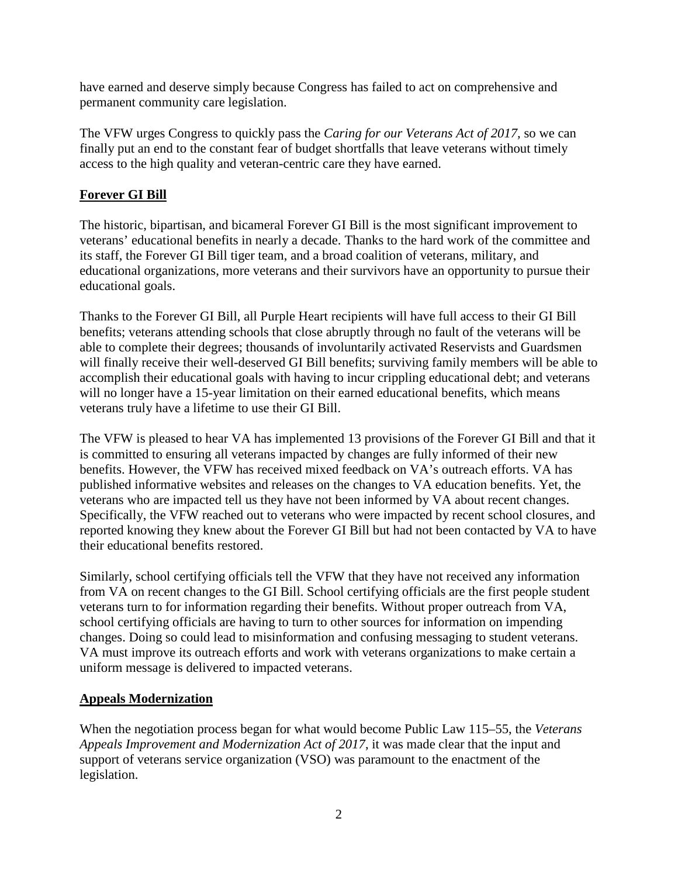have earned and deserve simply because Congress has failed to act on comprehensive and permanent community care legislation.

The VFW urges Congress to quickly pass the *Caring for our Veterans Act of 2017,* so we can finally put an end to the constant fear of budget shortfalls that leave veterans without timely access to the high quality and veteran-centric care they have earned.

# **Forever GI Bill**

The historic, bipartisan, and bicameral Forever GI Bill is the most significant improvement to veterans' educational benefits in nearly a decade. Thanks to the hard work of the committee and its staff, the Forever GI Bill tiger team, and a broad coalition of veterans, military, and educational organizations, more veterans and their survivors have an opportunity to pursue their educational goals.

Thanks to the Forever GI Bill, all Purple Heart recipients will have full access to their GI Bill benefits; veterans attending schools that close abruptly through no fault of the veterans will be able to complete their degrees; thousands of involuntarily activated Reservists and Guardsmen will finally receive their well-deserved GI Bill benefits; surviving family members will be able to accomplish their educational goals with having to incur crippling educational debt; and veterans will no longer have a 15-year limitation on their earned educational benefits, which means veterans truly have a lifetime to use their GI Bill.

The VFW is pleased to hear VA has implemented 13 provisions of the Forever GI Bill and that it is committed to ensuring all veterans impacted by changes are fully informed of their new benefits. However, the VFW has received mixed feedback on VA's outreach efforts. VA has published informative websites and releases on the changes to VA education benefits. Yet, the veterans who are impacted tell us they have not been informed by VA about recent changes. Specifically, the VFW reached out to veterans who were impacted by recent school closures, and reported knowing they knew about the Forever GI Bill but had not been contacted by VA to have their educational benefits restored.

Similarly, school certifying officials tell the VFW that they have not received any information from VA on recent changes to the GI Bill. School certifying officials are the first people student veterans turn to for information regarding their benefits. Without proper outreach from VA, school certifying officials are having to turn to other sources for information on impending changes. Doing so could lead to misinformation and confusing messaging to student veterans. VA must improve its outreach efforts and work with veterans organizations to make certain a uniform message is delivered to impacted veterans.

# **Appeals Modernization**

When the negotiation process began for what would become Public Law 115–55, the *Veterans Appeals Improvement and Modernization Act of 2017*, it was made clear that the input and support of veterans service organization (VSO) was paramount to the enactment of the legislation.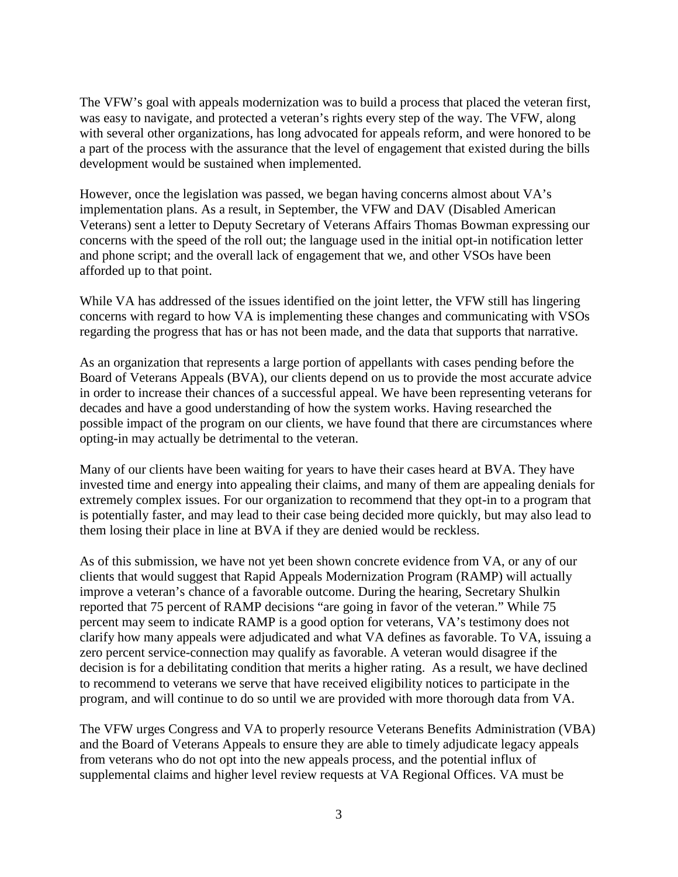The VFW's goal with appeals modernization was to build a process that placed the veteran first, was easy to navigate, and protected a veteran's rights every step of the way. The VFW, along with several other organizations, has long advocated for appeals reform, and were honored to be a part of the process with the assurance that the level of engagement that existed during the bills development would be sustained when implemented.

However, once the legislation was passed, we began having concerns almost about VA's implementation plans. As a result, in September, the VFW and DAV (Disabled American Veterans) sent a letter to Deputy Secretary of Veterans Affairs Thomas Bowman expressing our concerns with the speed of the roll out; the language used in the initial opt-in notification letter and phone script; and the overall lack of engagement that we, and other VSOs have been afforded up to that point.

While VA has addressed of the issues identified on the joint letter, the VFW still has lingering concerns with regard to how VA is implementing these changes and communicating with VSOs regarding the progress that has or has not been made, and the data that supports that narrative.

As an organization that represents a large portion of appellants with cases pending before the Board of Veterans Appeals (BVA), our clients depend on us to provide the most accurate advice in order to increase their chances of a successful appeal. We have been representing veterans for decades and have a good understanding of how the system works. Having researched the possible impact of the program on our clients, we have found that there are circumstances where opting-in may actually be detrimental to the veteran.

Many of our clients have been waiting for years to have their cases heard at BVA. They have invested time and energy into appealing their claims, and many of them are appealing denials for extremely complex issues. For our organization to recommend that they opt-in to a program that is potentially faster, and may lead to their case being decided more quickly, but may also lead to them losing their place in line at BVA if they are denied would be reckless.

As of this submission, we have not yet been shown concrete evidence from VA, or any of our clients that would suggest that Rapid Appeals Modernization Program (RAMP) will actually improve a veteran's chance of a favorable outcome. During the hearing, Secretary Shulkin reported that 75 percent of RAMP decisions "are going in favor of the veteran." While 75 percent may seem to indicate RAMP is a good option for veterans, VA's testimony does not clarify how many appeals were adjudicated and what VA defines as favorable. To VA, issuing a zero percent service-connection may qualify as favorable. A veteran would disagree if the decision is for a debilitating condition that merits a higher rating. As a result, we have declined to recommend to veterans we serve that have received eligibility notices to participate in the program, and will continue to do so until we are provided with more thorough data from VA.

The VFW urges Congress and VA to properly resource Veterans Benefits Administration (VBA) and the Board of Veterans Appeals to ensure they are able to timely adjudicate legacy appeals from veterans who do not opt into the new appeals process, and the potential influx of supplemental claims and higher level review requests at VA Regional Offices. VA must be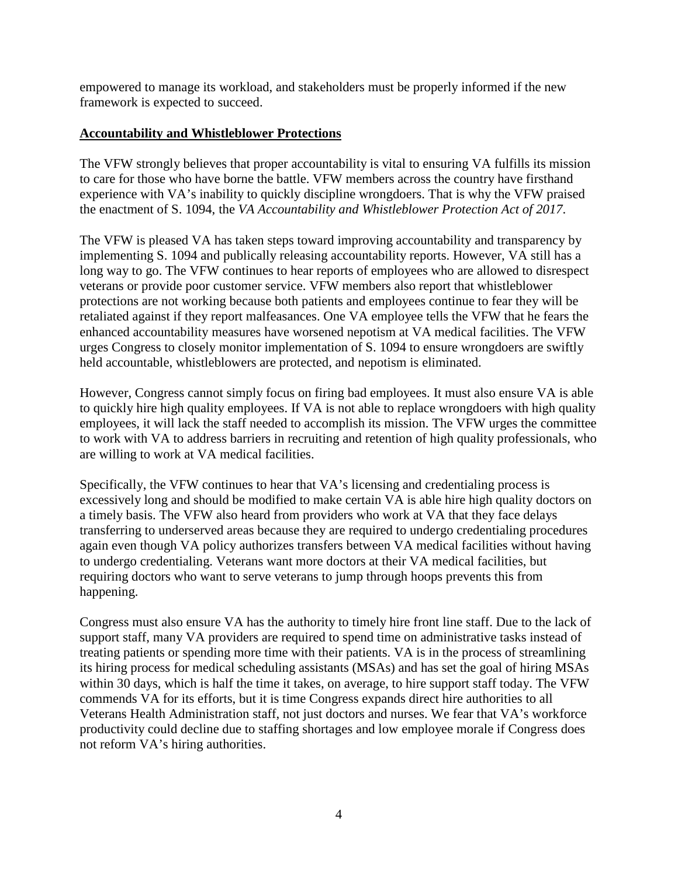empowered to manage its workload, and stakeholders must be properly informed if the new framework is expected to succeed.

## **Accountability and Whistleblower Protections**

The VFW strongly believes that proper accountability is vital to ensuring VA fulfills its mission to care for those who have borne the battle. VFW members across the country have firsthand experience with VA's inability to quickly discipline wrongdoers. That is why the VFW praised the enactment of S. 1094, the *VA Accountability and Whistleblower Protection Act of 2017*.

The VFW is pleased VA has taken steps toward improving accountability and transparency by implementing S. 1094 and publically releasing accountability reports. However, VA still has a long way to go. The VFW continues to hear reports of employees who are allowed to disrespect veterans or provide poor customer service. VFW members also report that whistleblower protections are not working because both patients and employees continue to fear they will be retaliated against if they report malfeasances. One VA employee tells the VFW that he fears the enhanced accountability measures have worsened nepotism at VA medical facilities. The VFW urges Congress to closely monitor implementation of S. 1094 to ensure wrongdoers are swiftly held accountable, whistleblowers are protected, and nepotism is eliminated.

However, Congress cannot simply focus on firing bad employees. It must also ensure VA is able to quickly hire high quality employees. If VA is not able to replace wrongdoers with high quality employees, it will lack the staff needed to accomplish its mission. The VFW urges the committee to work with VA to address barriers in recruiting and retention of high quality professionals, who are willing to work at VA medical facilities.

Specifically, the VFW continues to hear that VA's licensing and credentialing process is excessively long and should be modified to make certain VA is able hire high quality doctors on a timely basis. The VFW also heard from providers who work at VA that they face delays transferring to underserved areas because they are required to undergo credentialing procedures again even though VA policy authorizes transfers between VA medical facilities without having to undergo credentialing. Veterans want more doctors at their VA medical facilities, but requiring doctors who want to serve veterans to jump through hoops prevents this from happening.

Congress must also ensure VA has the authority to timely hire front line staff. Due to the lack of support staff, many VA providers are required to spend time on administrative tasks instead of treating patients or spending more time with their patients. VA is in the process of streamlining its hiring process for medical scheduling assistants (MSAs) and has set the goal of hiring MSAs within 30 days, which is half the time it takes, on average, to hire support staff today. The VFW commends VA for its efforts, but it is time Congress expands direct hire authorities to all Veterans Health Administration staff, not just doctors and nurses. We fear that VA's workforce productivity could decline due to staffing shortages and low employee morale if Congress does not reform VA's hiring authorities.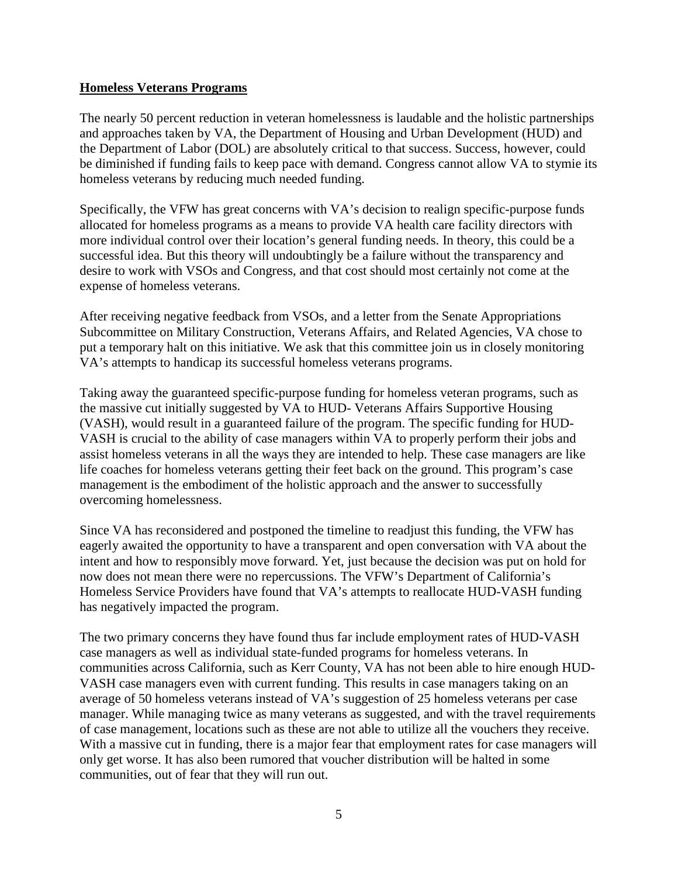## **Homeless Veterans Programs**

The nearly 50 percent reduction in veteran homelessness is laudable and the holistic partnerships and approaches taken by VA, the Department of Housing and Urban Development (HUD) and the Department of Labor (DOL) are absolutely critical to that success. Success, however, could be diminished if funding fails to keep pace with demand. Congress cannot allow VA to stymie its homeless veterans by reducing much needed funding.

Specifically, the VFW has great concerns with VA's decision to realign specific-purpose funds allocated for homeless programs as a means to provide VA health care facility directors with more individual control over their location's general funding needs. In theory, this could be a successful idea. But this theory will undoubtingly be a failure without the transparency and desire to work with VSOs and Congress, and that cost should most certainly not come at the expense of homeless veterans.

After receiving negative feedback from VSOs, and a letter from the Senate Appropriations Subcommittee on Military Construction, Veterans Affairs, and Related Agencies, VA chose to put a temporary halt on this initiative. We ask that this committee join us in closely monitoring VA's attempts to handicap its successful homeless veterans programs.

Taking away the guaranteed specific-purpose funding for homeless veteran programs, such as the massive cut initially suggested by VA to HUD- Veterans Affairs Supportive Housing (VASH), would result in a guaranteed failure of the program. The specific funding for HUD-VASH is crucial to the ability of case managers within VA to properly perform their jobs and assist homeless veterans in all the ways they are intended to help. These case managers are like life coaches for homeless veterans getting their feet back on the ground. This program's case management is the embodiment of the holistic approach and the answer to successfully overcoming homelessness.

Since VA has reconsidered and postponed the timeline to readjust this funding, the VFW has eagerly awaited the opportunity to have a transparent and open conversation with VA about the intent and how to responsibly move forward. Yet, just because the decision was put on hold for now does not mean there were no repercussions. The VFW's Department of California's Homeless Service Providers have found that VA's attempts to reallocate HUD-VASH funding has negatively impacted the program.

The two primary concerns they have found thus far include employment rates of HUD-VASH case managers as well as individual state-funded programs for homeless veterans. In communities across California, such as Kerr County, VA has not been able to hire enough HUD-VASH case managers even with current funding. This results in case managers taking on an average of 50 homeless veterans instead of VA's suggestion of 25 homeless veterans per case manager. While managing twice as many veterans as suggested, and with the travel requirements of case management, locations such as these are not able to utilize all the vouchers they receive. With a massive cut in funding, there is a major fear that employment rates for case managers will only get worse. It has also been rumored that voucher distribution will be halted in some communities, out of fear that they will run out.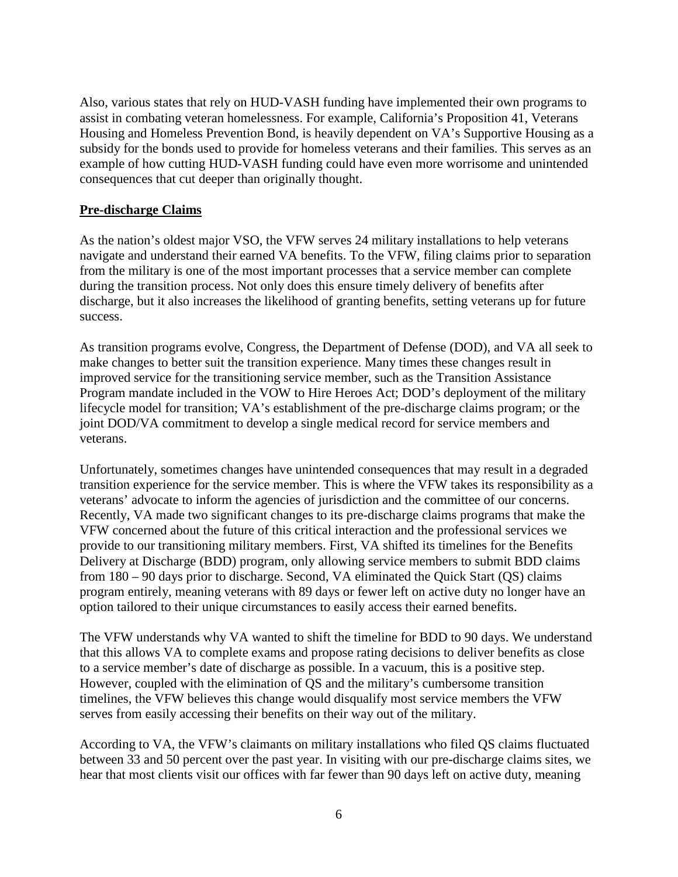Also, various states that rely on HUD-VASH funding have implemented their own programs to assist in combating veteran homelessness. For example, California's Proposition 41, Veterans Housing and Homeless Prevention Bond, is heavily dependent on VA's Supportive Housing as a subsidy for the bonds used to provide for homeless veterans and their families. This serves as an example of how cutting HUD-VASH funding could have even more worrisome and unintended consequences that cut deeper than originally thought.

## **Pre-discharge Claims**

As the nation's oldest major VSO, the VFW serves 24 military installations to help veterans navigate and understand their earned VA benefits. To the VFW, filing claims prior to separation from the military is one of the most important processes that a service member can complete during the transition process. Not only does this ensure timely delivery of benefits after discharge, but it also increases the likelihood of granting benefits, setting veterans up for future success.

As transition programs evolve, Congress, the Department of Defense (DOD), and VA all seek to make changes to better suit the transition experience. Many times these changes result in improved service for the transitioning service member, such as the Transition Assistance Program mandate included in the VOW to Hire Heroes Act; DOD's deployment of the military lifecycle model for transition; VA's establishment of the pre-discharge claims program; or the joint DOD/VA commitment to develop a single medical record for service members and veterans.

Unfortunately, sometimes changes have unintended consequences that may result in a degraded transition experience for the service member. This is where the VFW takes its responsibility as a veterans' advocate to inform the agencies of jurisdiction and the committee of our concerns. Recently, VA made two significant changes to its pre-discharge claims programs that make the VFW concerned about the future of this critical interaction and the professional services we provide to our transitioning military members. First, VA shifted its timelines for the Benefits Delivery at Discharge (BDD) program, only allowing service members to submit BDD claims from 180 – 90 days prior to discharge. Second, VA eliminated the Quick Start (QS) claims program entirely, meaning veterans with 89 days or fewer left on active duty no longer have an option tailored to their unique circumstances to easily access their earned benefits.

The VFW understands why VA wanted to shift the timeline for BDD to 90 days. We understand that this allows VA to complete exams and propose rating decisions to deliver benefits as close to a service member's date of discharge as possible. In a vacuum, this is a positive step. However, coupled with the elimination of QS and the military's cumbersome transition timelines, the VFW believes this change would disqualify most service members the VFW serves from easily accessing their benefits on their way out of the military.

According to VA, the VFW's claimants on military installations who filed QS claims fluctuated between 33 and 50 percent over the past year. In visiting with our pre-discharge claims sites, we hear that most clients visit our offices with far fewer than 90 days left on active duty, meaning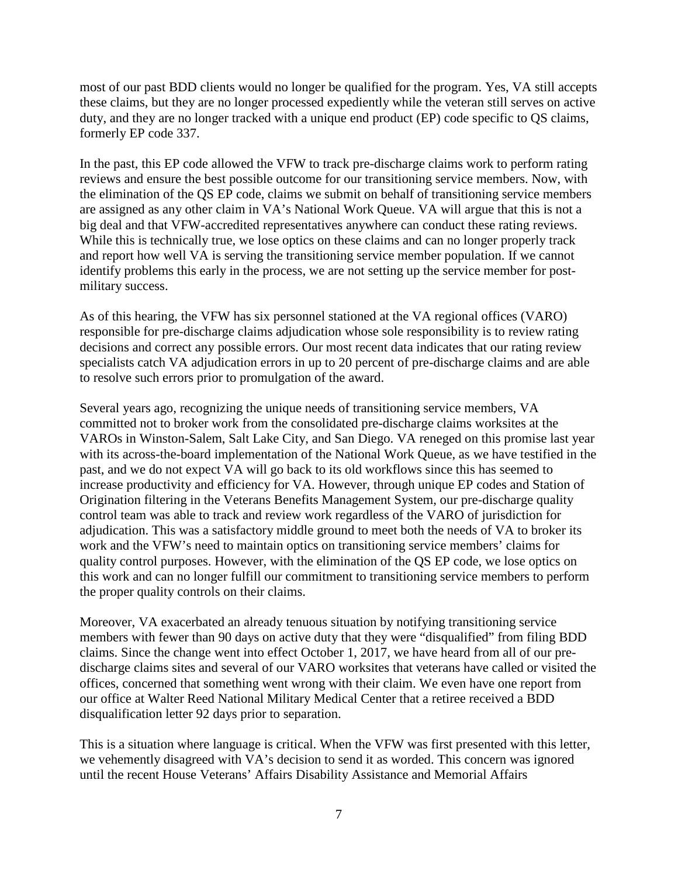most of our past BDD clients would no longer be qualified for the program. Yes, VA still accepts these claims, but they are no longer processed expediently while the veteran still serves on active duty, and they are no longer tracked with a unique end product (EP) code specific to QS claims, formerly EP code 337.

In the past, this EP code allowed the VFW to track pre-discharge claims work to perform rating reviews and ensure the best possible outcome for our transitioning service members. Now, with the elimination of the QS EP code, claims we submit on behalf of transitioning service members are assigned as any other claim in VA's National Work Queue. VA will argue that this is not a big deal and that VFW-accredited representatives anywhere can conduct these rating reviews. While this is technically true, we lose optics on these claims and can no longer properly track and report how well VA is serving the transitioning service member population. If we cannot identify problems this early in the process, we are not setting up the service member for postmilitary success.

As of this hearing, the VFW has six personnel stationed at the VA regional offices (VARO) responsible for pre-discharge claims adjudication whose sole responsibility is to review rating decisions and correct any possible errors. Our most recent data indicates that our rating review specialists catch VA adjudication errors in up to 20 percent of pre-discharge claims and are able to resolve such errors prior to promulgation of the award.

Several years ago, recognizing the unique needs of transitioning service members, VA committed not to broker work from the consolidated pre-discharge claims worksites at the VAROs in Winston-Salem, Salt Lake City, and San Diego. VA reneged on this promise last year with its across-the-board implementation of the National Work Queue, as we have testified in the past, and we do not expect VA will go back to its old workflows since this has seemed to increase productivity and efficiency for VA. However, through unique EP codes and Station of Origination filtering in the Veterans Benefits Management System, our pre-discharge quality control team was able to track and review work regardless of the VARO of jurisdiction for adjudication. This was a satisfactory middle ground to meet both the needs of VA to broker its work and the VFW's need to maintain optics on transitioning service members' claims for quality control purposes. However, with the elimination of the QS EP code, we lose optics on this work and can no longer fulfill our commitment to transitioning service members to perform the proper quality controls on their claims.

Moreover, VA exacerbated an already tenuous situation by notifying transitioning service members with fewer than 90 days on active duty that they were "disqualified" from filing BDD claims. Since the change went into effect October 1, 2017, we have heard from all of our predischarge claims sites and several of our VARO worksites that veterans have called or visited the offices, concerned that something went wrong with their claim. We even have one report from our office at Walter Reed National Military Medical Center that a retiree received a BDD disqualification letter 92 days prior to separation.

This is a situation where language is critical. When the VFW was first presented with this letter, we vehemently disagreed with VA's decision to send it as worded. This concern was ignored until the recent House Veterans' Affairs Disability Assistance and Memorial Affairs